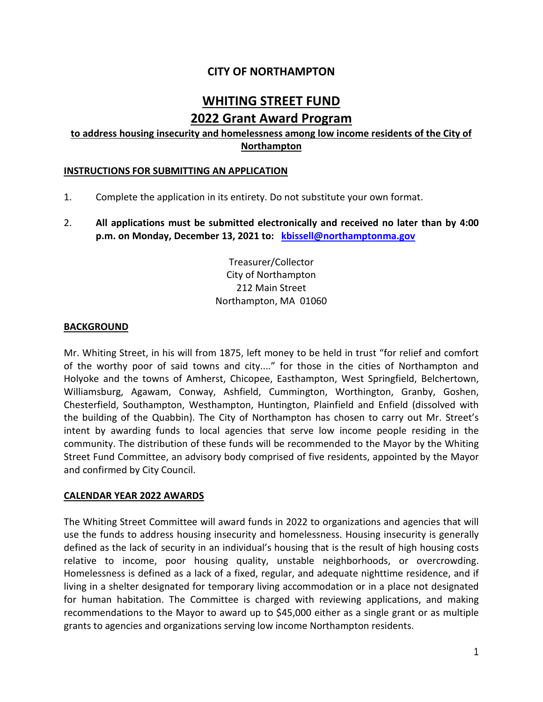# **CITY OF NORTHAMPTON**

# **WHITING STREET FUND 2022 Grant Award Program**

# **to address housing insecurity and homelessness among low income residents of the City of Northampton**

## **INSTRUCTIONS FOR SUBMITTING AN APPLICATION**

- 1. Complete the application in its entirety. Do not substitute your own format.
- 2. **All applications must be submitted electronically and received no later than by 4:00 p.m. on Monday, December 13, 2021 to: kbissell@northamptonma.gov**

Treasurer/Collector City of Northampton 212 Main Street Northampton, MA 01060

## **BACKGROUND**

Mr. Whiting Street, in his will from 1875, left money to be held in trust "for relief and comfort of the worthy poor of said towns and city...." for those in the cities of Northampton and Holyoke and the towns of Amherst, Chicopee, Easthampton, West Springfield, Belchertown, Williamsburg, Agawam, Conway, Ashfield, Cummington, Worthington, Granby, Goshen, Chesterfield, Southampton, Westhampton, Huntington, Plainfield and Enfield (dissolved with the building of the Quabbin). The City of Northampton has chosen to carry out Mr. Street's intent by awarding funds to local agencies that serve low income people residing in the community. The distribution of these funds will be recommended to the Mayor by the Whiting Street Fund Committee, an advisory body comprised of five residents, appointed by the Mayor and confirmed by City Council.

#### **CALENDAR YEAR 2022 AWARDS**

The Whiting Street Committee will award funds in 2022 to organizations and agencies that will use the funds to address housing insecurity and homelessness. Housing insecurity is generally defined as the lack of security in an individual's housing that is the result of high housing costs relative to income, poor housing quality, unstable neighborhoods, or overcrowding. Homelessness is defined as a lack of a fixed, regular, and adequate nighttime residence, and if living in a shelter designated for temporary living accommodation or in a place not designated for human habitation. The Committee is charged with reviewing applications, and making recommendations to the Mayor to award up to \$45,000 either as a single grant or as multiple grants to agencies and organizations serving low income Northampton residents.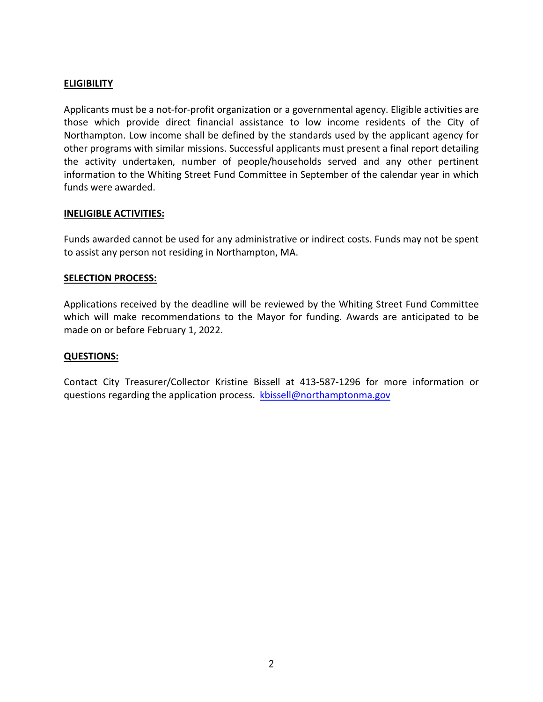# **ELIGIBILITY**

Applicants must be a not-for-profit organization or a governmental agency. Eligible activities are those which provide direct financial assistance to low income residents of the City of Northampton. Low income shall be defined by the standards used by the applicant agency for other programs with similar missions. Successful applicants must present a final report detailing the activity undertaken, number of people/households served and any other pertinent information to the Whiting Street Fund Committee in September of the calendar year in which funds were awarded.

## **INELIGIBLE ACTIVITIES:**

Funds awarded cannot be used for any administrative or indirect costs. Funds may not be spent to assist any person not residing in Northampton, MA.

## **SELECTION PROCESS:**

Applications received by the deadline will be reviewed by the Whiting Street Fund Committee which will make recommendations to the Mayor for funding. Awards are anticipated to be made on or before February 1, 2022.

### **QUESTIONS:**

Contact City Treasurer/Collector Kristine Bissell at 413-587-1296 for more information or questions regarding the application process. kbissell@northamptonma.gov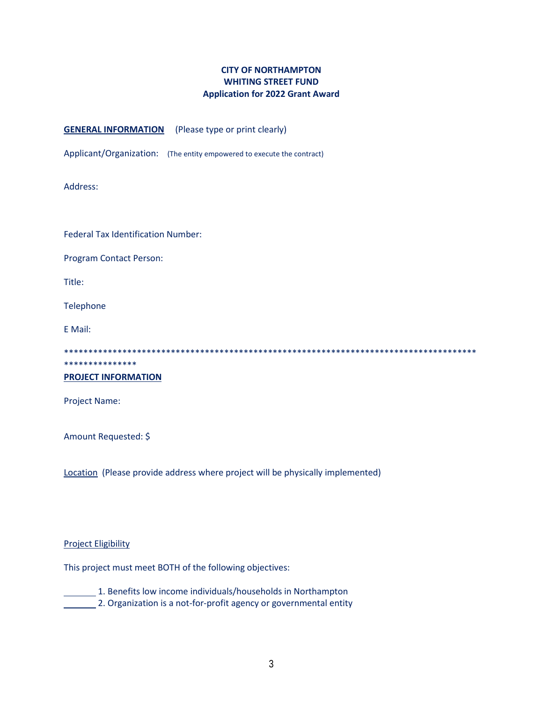# **CITY OF NORTHAMPTON WHITING STREET FUND Application for 2022 Grant Award**

#### **GENERAL INFORMATION** (Please type or print clearly)

Applicant/Organization: (The entity empowered to execute the contract)

Address:

Federal Tax Identification Number:

Program Contact Person:

Title:

Telephone

E Mail:

\*\*\*\*\*\*\*\*\*\*\*\*\*\*\*\*\*\*\*\*\*\*\*\*\*\*\*\*\*\*\*\*\*\*\*\*\*\*\*\*\*\*\*\*\*\*\*\*\*\*\*\*\*\*\*\*\*\*\*\*\*\*\*\*\*\*\*\*\*\*\*\*\*\*\*\*\*\*\*\*\*\*\*\*\*

# **PROJECT INFORMATION**

\*\*\*\*\*\*\*\*\*\*\*\*\*\*\*

Project Name:

Amount Requested: \$

Location (Please provide address where project will be physically implemented)

#### Project Eligibility

This project must meet BOTH of the following objectives:

1. Benefits low income individuals/households in Northampton

**2. Organization is a not-for-profit agency or governmental entity**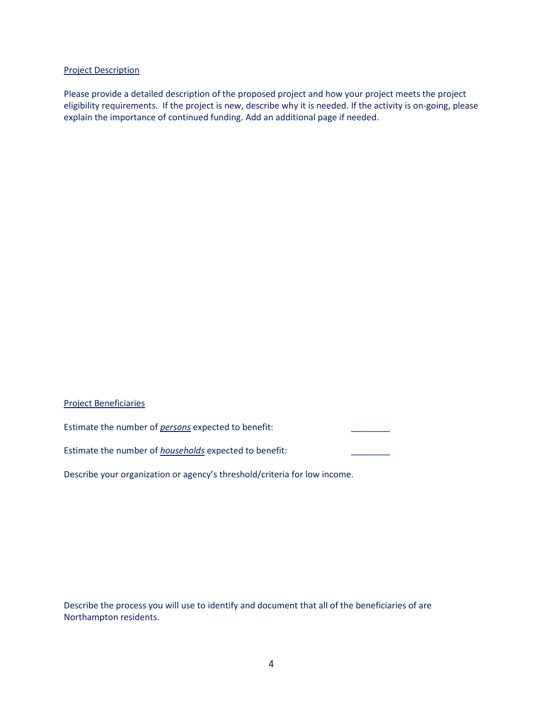#### Project Description

Please provide a detailed description of the proposed project and how your project meets the project eligibility requirements. If the project is new, describe why it is needed. If the activity is on-going, please explain the importance of continued funding. Add an additional page if needed.

#### Project Beneficiaries

Estimate the number of *persons* expected to benefit:

Estimate the number of *households* expected to benefit: \_\_\_\_\_\_\_\_

Describe your organization or agency's threshold/criteria for low income.

Describe the process you will use to identify and document that all of the beneficiaries of are Northampton residents.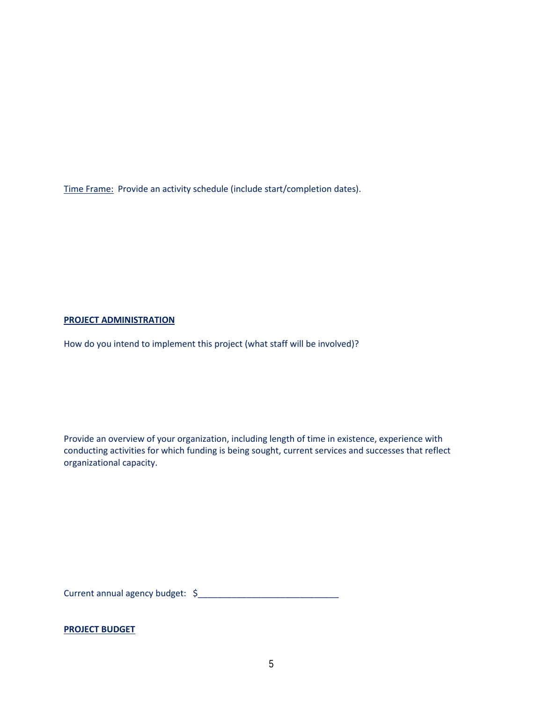Time Frame: Provide an activity schedule (include start/completion dates).

#### **PROJECT ADMINISTRATION**

How do you intend to implement this project (what staff will be involved)?

Provide an overview of your organization, including length of time in existence, experience with conducting activities for which funding is being sought, current services and successes that reflect organizational capacity.

Current annual agency budget:  $\sim$ 

#### **PROJECT BUDGET**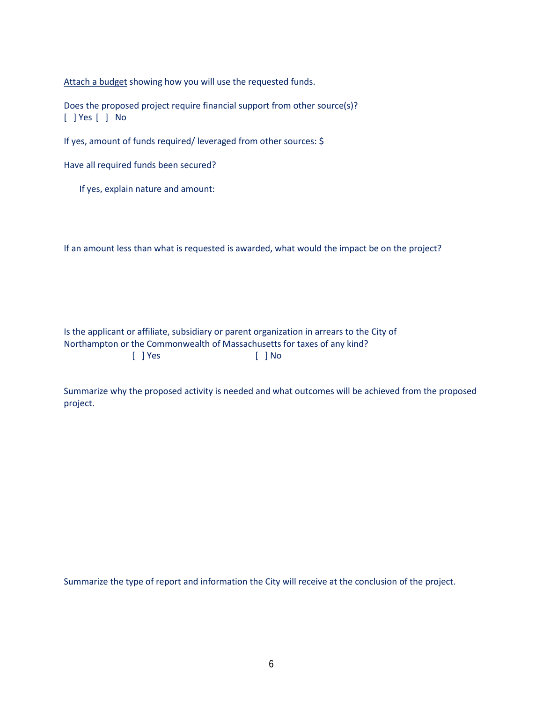Attach a budget showing how you will use the requested funds.

Does the proposed project require financial support from other source(s)? [ ] Yes [ ] No

If yes, amount of funds required/ leveraged from other sources: \$

Have all required funds been secured?

If yes, explain nature and amount:

If an amount less than what is requested is awarded, what would the impact be on the project?

Is the applicant or affiliate, subsidiary or parent organization in arrears to the City of Northampton or the Commonwealth of Massachusetts for taxes of any kind? [ ] Yes [ ] No

Summarize why the proposed activity is needed and what outcomes will be achieved from the proposed project.

Summarize the type of report and information the City will receive at the conclusion of the project.